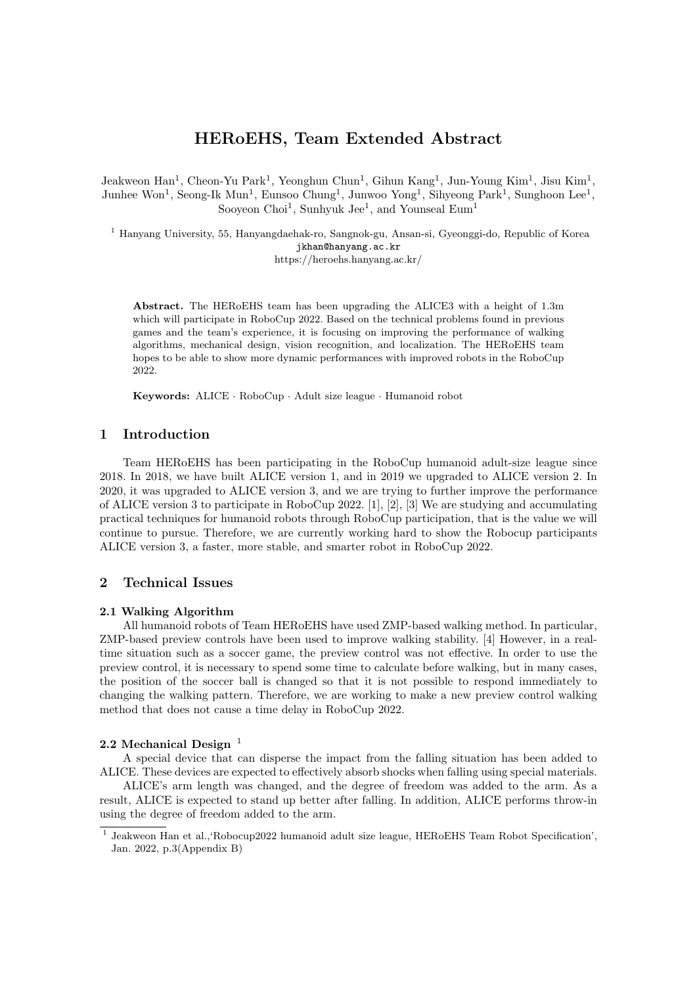# HERoEHS, Team Extended Abstract

Jeakweon Han<sup>1</sup>, Cheon-Yu Park<sup>1</sup>, Yeonghun Chun<sup>1</sup>, Gihun Kang<sup>1</sup>, Jun-Young Kim<sup>1</sup>, Jisu Kim<sup>1</sup>, Junhee Won<sup>1</sup>, Seong-Ik Mun<sup>1</sup>, Eunsoo Chung<sup>1</sup>, Junwoo Yong<sup>1</sup>, Sihyeong Park<sup>1</sup>, Sunghoon Lee<sup>1</sup>, Sooyeon Choi<sup>1</sup>, Sunhyuk Jee<sup>1</sup>, and Younseal Eum<sup>1</sup>

<sup>1</sup> Hanyang University, 55, Hanyangdaehak-ro, Sangnok-gu, Ansan-si, Gyeonggi-do, Republic of Korea jkhan@hanyang.ac.kr

https://heroehs.hanyang.ac.kr/

Abstract. The HERoEHS team has been upgrading the ALICE3 with a height of 1.3m which will participate in RoboCup 2022. Based on the technical problems found in previous games and the team's experience, it is focusing on improving the performance of walking algorithms, mechanical design, vision recognition, and localization. The HERoEHS team hopes to be able to show more dynamic performances with improved robots in the RoboCup 2022.

Keywords: ALICE · RoboCup · Adult size league · Humanoid robot

# 1 Introduction

Team HERoEHS has been participating in the RoboCup humanoid adult-size league since 2018. In 2018, we have built ALICE version 1, and in 2019 we upgraded to ALICE version 2. In 2020, it was upgraded to ALICE version 3, and we are trying to further improve the performance of ALICE version 3 to participate in RoboCup 2022. [1], [2], [3] We are studying and accumulating practical techniques for humanoid robots through RoboCup participation, that is the value we will continue to pursue. Therefore, we are currently working hard to show the Robocup participants ALICE version 3, a faster, more stable, and smarter robot in RoboCup 2022.

### 2 Technical Issues

#### 2.1 Walking Algorithm

All humanoid robots of Team HERoEHS have used ZMP-based walking method. In particular, ZMP-based preview controls have been used to improve walking stability. [4] However, in a realtime situation such as a soccer game, the preview control was not effective. In order to use the preview control, it is necessary to spend some time to calculate before walking, but in many cases, the position of the soccer ball is changed so that it is not possible to respond immediately to changing the walking pattern. Therefore, we are working to make a new preview control walking method that does not cause a time delay in RoboCup 2022.

### 2.2 Mechanical Design $1$

A special device that can disperse the impact from the falling situation has been added to ALICE. These devices are expected to effectively absorb shocks when falling using special materials.

ALICE's arm length was changed, and the degree of freedom was added to the arm. As a result, ALICE is expected to stand up better after falling. In addition, ALICE performs throw-in using the degree of freedom added to the arm.

<sup>&</sup>lt;sup>1</sup> Jeakweon Han et al.,'Robocup2022 humanoid adult size league, HEROEHS Team Robot Specification', Jan. 2022, p.3(Appendix B)